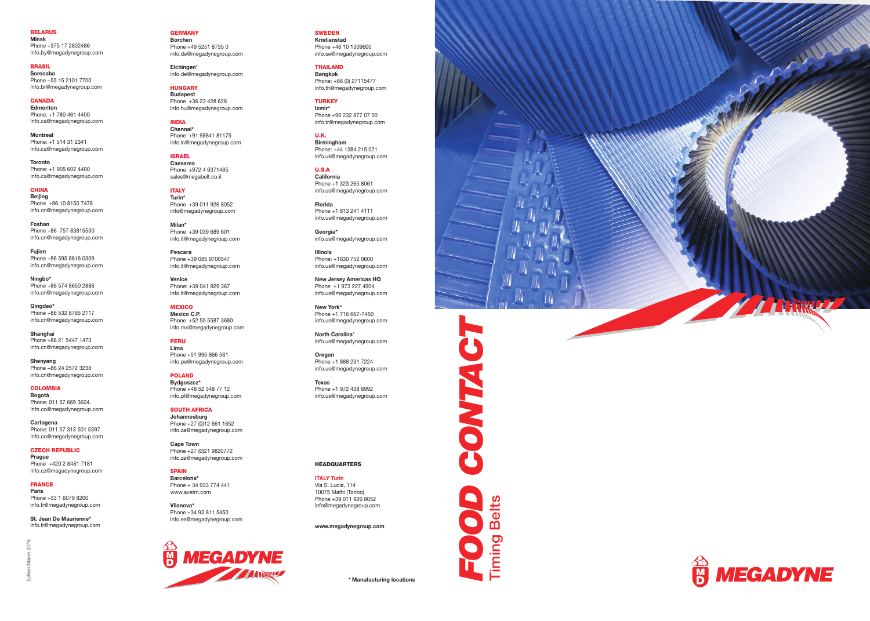



**TENNAZ**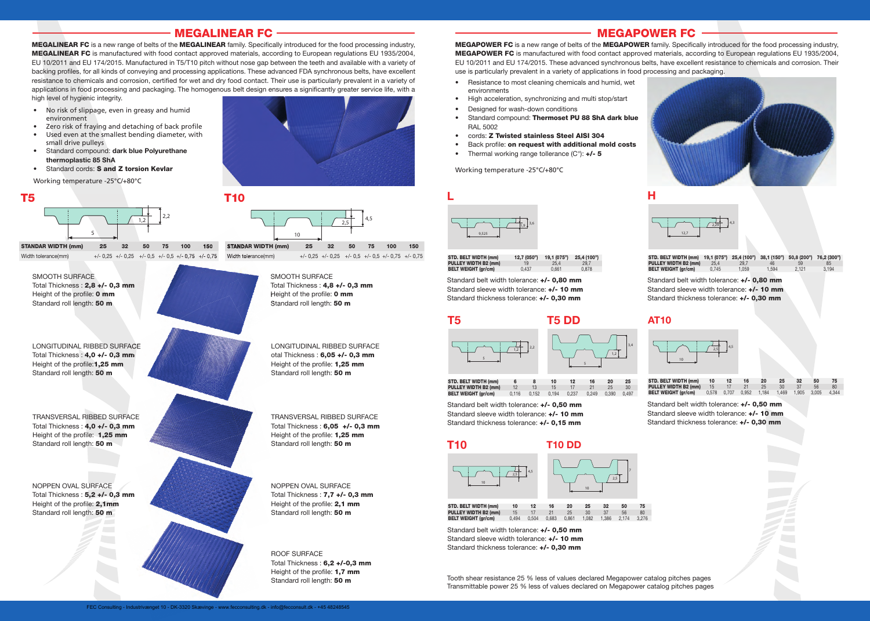## MEGALINEAR FC

MEGALINEAR FC is a new range of belts of the MEGALINEAR family. Specifically introduced for the food processing industry. MEGALINEAR FC is manufactured with food contact approved materials, according to European regulations EU 1935/2004, EU 10/2011 and EU 174/2015. Manufactured in T5/T10 pitch without nose gap between the teeth and available with a variety of backing profiles, for all kinds of conveying and processing applications. These advanced FDA synchronous belts, have excellent resistance to chemicals and corrosion, certified for wet and dry food contact. Their use is particularly prevalent in a variety of applications in food processing and packaging. The homogenous belt design ensures a significantly greater service life, with a high level of hygienic integrity.

- No risk of slippage, even in greasy and humid environment
- Zero risk of fraying and detaching of back profile
- Used even at the smallest bending diameter, with small drive pulleys
- Standard compound: dark blue Polyurethane thermoplastic 85 ShA
- Standard cords: S and Z torsion Kevlar

Working temperature -25°C/+80°C





TRANSVERSAL RIBBED SURFACE Total Thickness : 4,0 +/- 0,3 mm Height of the profile: 1,25 mm Standard roll length: 50 m

NOPPEN OVAL SURFACE Total Thickness : 5,2 +/- 0,3 mm Height of the profile: 2,1mm Standard roll length: 50 m

TRANSVERSAL RIBBED SURFACE Total Thickness : 6,05 +/- 0,3 mm Height of the profile: 1,25 mm Standard roll length: 50 m

NOPPEN OVAL SURFACE Total Thickness : 7,7 +/- 0,3 mm Height of the profile: 2,1 mm Standard roll length: 50 m

ROOF SURFACE Total Thickness: 6,2 +/-0,3 mm Height of the profile: 1,7 mm Standard roll length: 50 m